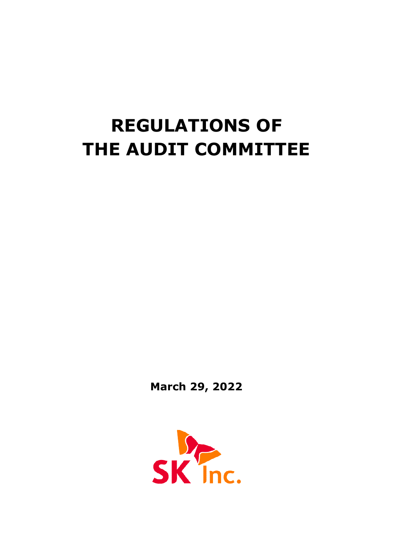# **REGULATIONS OF THE AUDIT COMMITTEE**

**March 29, 2022**

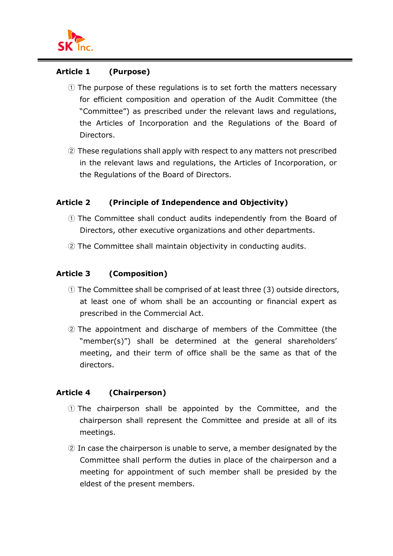

# **Article 1 (Purpose)**

- ① The purpose of these regulations is to set forth the matters necessary for efficient composition and operation of the Audit Committee (the "Committee") as prescribed under the relevant laws and regulations, the Articles of Incorporation and the Regulations of the Board of Directors.
- ② These regulations shall apply with respect to any matters not prescribed in the relevant laws and regulations, the Articles of Incorporation, or the Regulations of the Board of Directors.

# **Article 2 (Principle of Independence and Objectivity)**

- ① The Committee shall conduct audits independently from the Board of Directors, other executive organizations and other departments.
- ② The Committee shall maintain objectivity in conducting audits.

# **Article 3 (Composition)**

- ① The Committee shall be comprised of at least three (3) outside directors, at least one of whom shall be an accounting or financial expert as prescribed in the Commercial Act.
- ② The appointment and discharge of members of the Committee (the "member(s)") shall be determined at the general shareholders' meeting, and their term of office shall be the same as that of the directors.

# **Article 4 (Chairperson)**

- ① The chairperson shall be appointed by the Committee, and the chairperson shall represent the Committee and preside at all of its meetings.
- ② In case the chairperson is unable to serve, a member designated by the Committee shall perform the duties in place of the chairperson and a meeting for appointment of such member shall be presided by the eldest of the present members.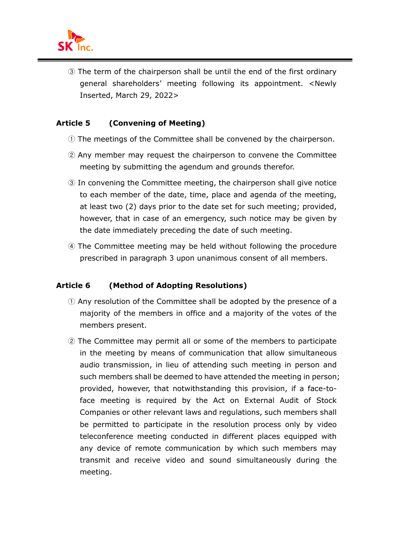

③ The term of the chairperson shall be until the end of the first ordinary general shareholders' meeting following its appointment. <Newly Inserted, March 29, 2022>

# **Article 5 (Convening of Meeting)**

- ① The meetings of the Committee shall be convened by the chairperson.
- ② Any member may request the chairperson to convene the Committee meeting by submitting the agendum and grounds therefor.
- ③ In convening the Committee meeting, the chairperson shall give notice to each member of the date, time, place and agenda of the meeting, at least two (2) days prior to the date set for such meeting; provided, however, that in case of an emergency, such notice may be given by the date immediately preceding the date of such meeting.
- ④ The Committee meeting may be held without following the procedure prescribed in paragraph 3 upon unanimous consent of all members.

# **Article 6 (Method of Adopting Resolutions)**

- ① Any resolution of the Committee shall be adopted by the presence of a majority of the members in office and a majority of the votes of the members present.
- ② The Committee may permit all or some of the members to participate in the meeting by means of communication that allow simultaneous audio transmission, in lieu of attending such meeting in person and such members shall be deemed to have attended the meeting in person; provided, however, that notwithstanding this provision, if a face-toface meeting is required by the Act on External Audit of Stock Companies or other relevant laws and regulations, such members shall be permitted to participate in the resolution process only by video teleconference meeting conducted in different places equipped with any device of remote communication by which such members may transmit and receive video and sound simultaneously during the meeting.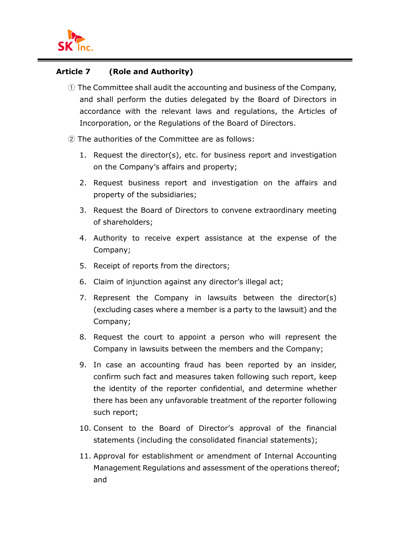

#### **Article 7 (Role and Authority)**

- ① The Committee shall audit the accounting and business of the Company, and shall perform the duties delegated by the Board of Directors in accordance with the relevant laws and regulations, the Articles of Incorporation, or the Regulations of the Board of Directors.
- ② The authorities of the Committee are as follows:
	- 1. Request the director(s), etc. for business report and investigation on the Company's affairs and property;
	- 2. Request business report and investigation on the affairs and property of the subsidiaries;
	- 3. Request the Board of Directors to convene extraordinary meeting of shareholders;
	- 4. Authority to receive expert assistance at the expense of the Company;
	- 5. Receipt of reports from the directors;
	- 6. Claim of injunction against any director's illegal act;
	- 7. Represent the Company in lawsuits between the director(s) (excluding cases where a member is a party to the lawsuit) and the Company;
	- 8. Request the court to appoint a person who will represent the Company in lawsuits between the members and the Company;
	- 9. In case an accounting fraud has been reported by an insider, confirm such fact and measures taken following such report, keep the identity of the reporter confidential, and determine whether there has been any unfavorable treatment of the reporter following such report;
	- 10. Consent to the Board of Director's approval of the financial statements (including the consolidated financial statements);
	- 11. Approval for establishment or amendment of Internal Accounting Management Regulations and assessment of the operations thereof; and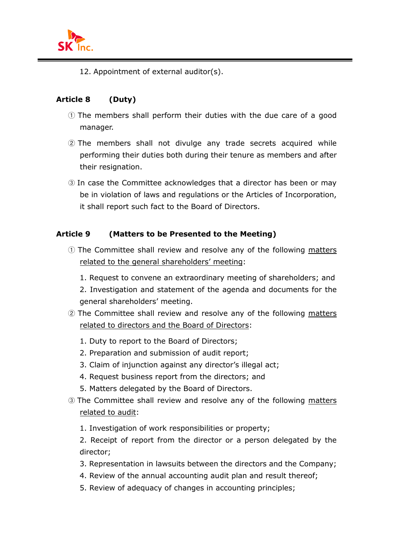

12. Appointment of external auditor(s).

# **Article 8 (Duty)**

- ① The members shall perform their duties with the due care of a good manager.
- ② The members shall not divulge any trade secrets acquired while performing their duties both during their tenure as members and after their resignation.
- ③ In case the Committee acknowledges that a director has been or may be in violation of laws and regulations or the Articles of Incorporation, it shall report such fact to the Board of Directors.

# **Article 9 (Matters to be Presented to the Meeting)**

- ① The Committee shall review and resolve any of the following matters related to the general shareholders' meeting:
	- 1. Request to convene an extraordinary meeting of shareholders; and
	- 2. Investigation and statement of the agenda and documents for the general shareholders' meeting.
- ② The Committee shall review and resolve any of the following matters related to directors and the Board of Directors:
	- 1. Duty to report to the Board of Directors;
	- 2. Preparation and submission of audit report;
	- 3. Claim of injunction against any director's illegal act;
	- 4. Request business report from the directors; and
	- 5. Matters delegated by the Board of Directors.
- ③ The Committee shall review and resolve any of the following matters related to audit:
	- 1. Investigation of work responsibilities or property;
	- 2. Receipt of report from the director or a person delegated by the director;
	- 3. Representation in lawsuits between the directors and the Company;
	- 4. Review of the annual accounting audit plan and result thereof;
	- 5. Review of adequacy of changes in accounting principles;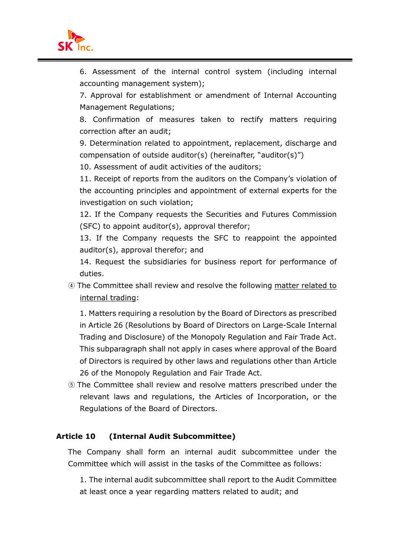

6. Assessment of the internal control system (including internal accounting management system);

7. Approval for establishment or amendment of Internal Accounting Management Regulations;

8. Confirmation of measures taken to rectify matters requiring correction after an audit;

9. Determination related to appointment, replacement, discharge and compensation of outside auditor(s) (hereinafter, "auditor(s)")

10. Assessment of audit activities of the auditors;

11. Receipt of reports from the auditors on the Company's violation of the accounting principles and appointment of external experts for the investigation on such violation;

12. If the Company requests the Securities and Futures Commission (SFC) to appoint auditor(s), approval therefor;

13. If the Company requests the SFC to reappoint the appointed auditor(s), approval therefor; and

14. Request the subsidiaries for business report for performance of duties.

④ The Committee shall review and resolve the following matter related to internal trading:

1. Matters requiring a resolution by the Board of Directors as prescribed in Article 26 (Resolutions by Board of Directors on Large-Scale Internal Trading and Disclosure) of the Monopoly Regulation and Fair Trade Act. This subparagraph shall not apply in cases where approval of the Board of Directors is required by other laws and regulations other than Article 26 of the Monopoly Regulation and Fair Trade Act.

⑤ The Committee shall review and resolve matters prescribed under the relevant laws and regulations, the Articles of Incorporation, or the Regulations of the Board of Directors.

# **Article 10 (Internal Audit Subcommittee)**

The Company shall form an internal audit subcommittee under the Committee which will assist in the tasks of the Committee as follows:

1. The internal audit subcommittee shall report to the Audit Committee at least once a year regarding matters related to audit; and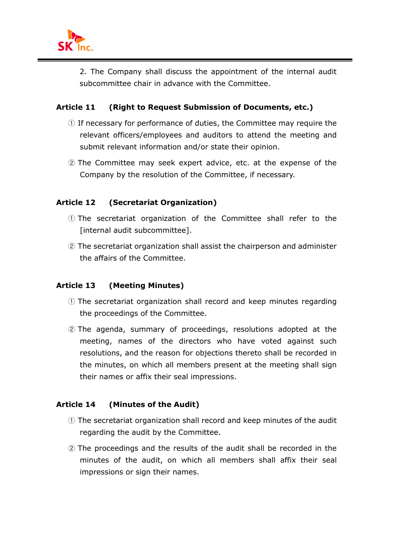

2. The Company shall discuss the appointment of the internal audit subcommittee chair in advance with the Committee.

# **Article 11 (Right to Request Submission of Documents, etc.)**

- ① If necessary for performance of duties, the Committee may require the relevant officers/employees and auditors to attend the meeting and submit relevant information and/or state their opinion.
- ② The Committee may seek expert advice, etc. at the expense of the Company by the resolution of the Committee, if necessary.

# **Article 12 (Secretariat Organization)**

- ① The secretariat organization of the Committee shall refer to the [internal audit subcommittee].
- ② The secretariat organization shall assist the chairperson and administer the affairs of the Committee.

# **Article 13 (Meeting Minutes)**

- ① The secretariat organization shall record and keep minutes regarding the proceedings of the Committee.
- ② The agenda, summary of proceedings, resolutions adopted at the meeting, names of the directors who have voted against such resolutions, and the reason for objections thereto shall be recorded in the minutes, on which all members present at the meeting shall sign their names or affix their seal impressions.

# **Article 14 (Minutes of the Audit)**

- ① The secretariat organization shall record and keep minutes of the audit regarding the audit by the Committee.
- ② The proceedings and the results of the audit shall be recorded in the minutes of the audit, on which all members shall affix their seal impressions or sign their names.